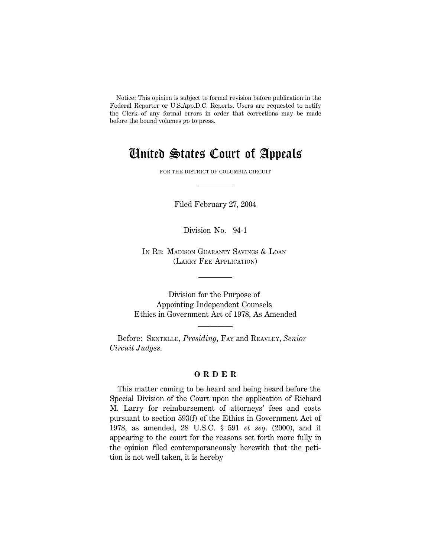Notice: This opinion is subject to formal revision before publication in the Federal Reporter or U.S.App.D.C. Reports. Users are requested to notify the Clerk of any formal errors in order that corrections may be made before the bound volumes go to press.

# United States Court of Appeals

FOR THE DISTRICT OF COLUMBIA CIRCUIT

Filed February 27, 2004

Division No. 94-1

IN RE: MADISON GUARANTY SAVINGS & LOAN (LARRY FEE APPLICATION)

Division for the Purpose of Appointing Independent Counsels Ethics in Government Act of 1978, As Amended

**–————**

Before: SENTELLE, *Presiding*, FAY and REAVLEY, *Senior Circuit Judges*.

## **O R D E R**

This matter coming to be heard and being heard before the Special Division of the Court upon the application of Richard M. Larry for reimbursement of attorneys' fees and costs pursuant to section 593(f) of the Ethics in Government Act of 1978, as amended, 28 U.S.C. § 591 *et seq*. (2000), and it appearing to the court for the reasons set forth more fully in the opinion filed contemporaneously herewith that the petition is not well taken, it is hereby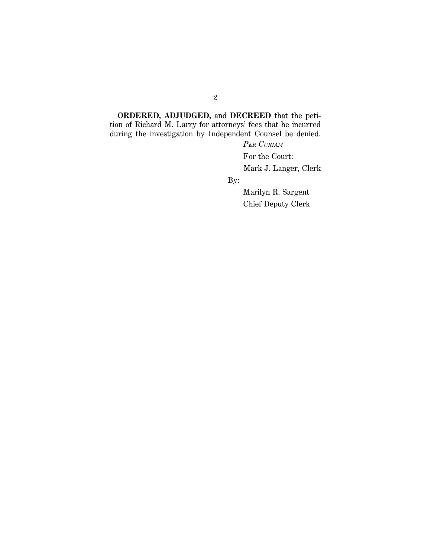**ORDERED, ADJUDGED,** and **DECREED** that the petition of Richard M. Larry for attorneys' fees that he incurred during the investigation by Independent Counsel be denied.

*PER CURIAM*

For the Court:

Mark J. Langer, Clerk

By:

 Marilyn R. Sargent Chief Deputy Clerk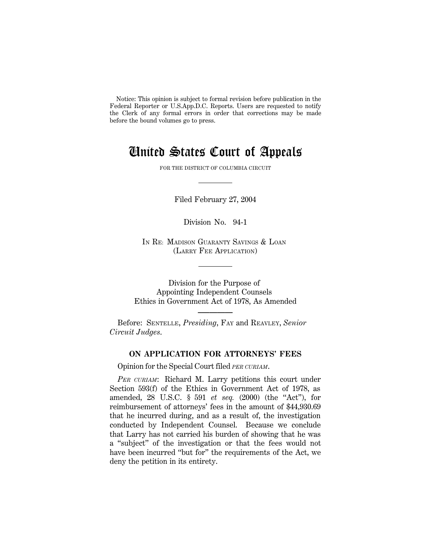Notice: This opinion is subject to formal revision before publication in the Federal Reporter or U.S.App.D.C. Reports. Users are requested to notify the Clerk of any formal errors in order that corrections may be made before the bound volumes go to press.

# United States Court of Appeals

FOR THE DISTRICT OF COLUMBIA CIRCUIT

Filed February 27, 2004

Division No. 94-1

IN RE: MADISON GUARANTY SAVINGS & LOAN (LARRY FEE APPLICATION)

Division for the Purpose of Appointing Independent Counsels Ethics in Government Act of 1978, As Amended

**–————**

Before: SENTELLE, *Presiding*, FAY and REAVLEY, *Senior Circuit Judges*.

# **ON APPLICATION FOR ATTORNEYS' FEES**

Opinion for the Special Court filed *PER CURIAM*.

*PER CURIAM*: Richard M. Larry petitions this court under Section 593(f) of the Ethics in Government Act of 1978, as amended, 28 U.S.C. § 591 *et seq.* (2000) (the "Act"), for reimbursement of attorneys' fees in the amount of \$44,930.69 that he incurred during, and as a result of, the investigation conducted by Independent Counsel. Because we conclude that Larry has not carried his burden of showing that he was a ''subject'' of the investigation or that the fees would not have been incurred ''but for'' the requirements of the Act, we deny the petition in its entirety.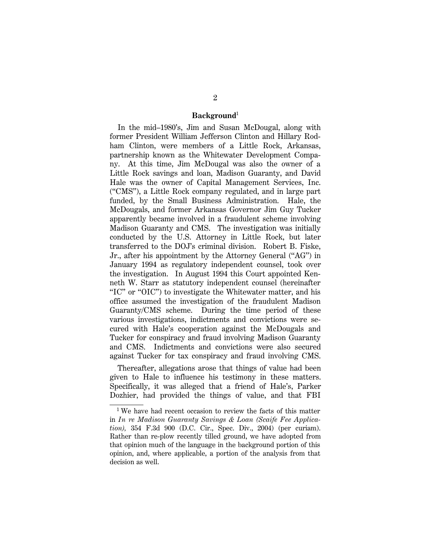#### **Background**<sup>1</sup>

In the mid–1980's, Jim and Susan McDougal, along with former President William Jefferson Clinton and Hillary Rodham Clinton, were members of a Little Rock, Arkansas, partnership known as the Whitewater Development Company. At this time, Jim McDougal was also the owner of a Little Rock savings and loan, Madison Guaranty, and David Hale was the owner of Capital Management Services, Inc. (''CMS''), a Little Rock company regulated, and in large part funded, by the Small Business Administration. Hale, the McDougals, and former Arkansas Governor Jim Guy Tucker apparently became involved in a fraudulent scheme involving Madison Guaranty and CMS. The investigation was initially conducted by the U.S. Attorney in Little Rock, but later transferred to the DOJ's criminal division. Robert B. Fiske, Jr., after his appointment by the Attorney General (''AG'') in January 1994 as regulatory independent counsel, took over the investigation. In August 1994 this Court appointed Kenneth W. Starr as statutory independent counsel (hereinafter ''IC'' or ''OIC'') to investigate the Whitewater matter, and his office assumed the investigation of the fraudulent Madison Guaranty/CMS scheme. During the time period of these various investigations, indictments and convictions were secured with Hale's cooperation against the McDougals and Tucker for conspiracy and fraud involving Madison Guaranty and CMS. Indictments and convictions were also secured against Tucker for tax conspiracy and fraud involving CMS.

Thereafter, allegations arose that things of value had been given to Hale to influence his testimony in these matters. Specifically, it was alleged that a friend of Hale's, Parker Dozhier, had provided the things of value, and that FBI

<sup>1</sup> We have had recent occasion to review the facts of this matter in *In re Madison Guaranty Savings & Loan (Scaife Fee Application),* 354 F.3d 900 (D.C. Cir., Spec. Div., 2004) (per curiam). Rather than re-plow recently tilled ground, we have adopted from that opinion much of the language in the background portion of this opinion, and, where applicable, a portion of the analysis from that decision as well.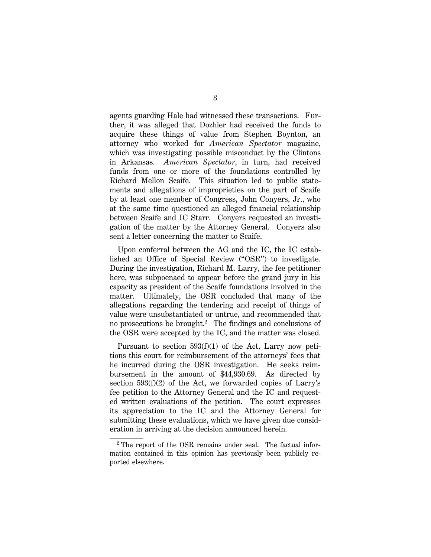agents guarding Hale had witnessed these transactions. Further, it was alleged that Dozhier had received the funds to acquire these things of value from Stephen Boynton, an attorney who worked for *American Spectator* magazine, which was investigating possible misconduct by the Clintons in Arkansas. *American Spectator*, in turn, had received funds from one or more of the foundations controlled by Richard Mellon Scaife. This situation led to public statements and allegations of improprieties on the part of Scaife by at least one member of Congress, John Conyers, Jr., who at the same time questioned an alleged financial relationship between Scaife and IC Starr. Conyers requested an investigation of the matter by the Attorney General. Conyers also sent a letter concerning the matter to Scaife.

Upon conferral between the AG and the IC, the IC established an Office of Special Review (''OSR'') to investigate. During the investigation, Richard M. Larry, the fee petitioner here, was subpoenaed to appear before the grand jury in his capacity as president of the Scaife foundations involved in the matter. Ultimately, the OSR concluded that many of the allegations regarding the tendering and receipt of things of value were unsubstantiated or untrue, and recommended that no prosecutions be brought.<sup>2</sup> The findings and conclusions of the OSR were accepted by the IC, and the matter was closed.

Pursuant to section 593(f)(1) of the Act, Larry now petitions this court for reimbursement of the attorneys' fees that he incurred during the OSR investigation. He seeks reimbursement in the amount of \$44,930.69. As directed by section 593(f)(2) of the Act, we forwarded copies of Larry's fee petition to the Attorney General and the IC and requested written evaluations of the petition. The court expresses its appreciation to the IC and the Attorney General for submitting these evaluations, which we have given due consideration in arriving at the decision announced herein.

<sup>2</sup> The report of the OSR remains under seal. The factual information contained in this opinion has previously been publicly reported elsewhere.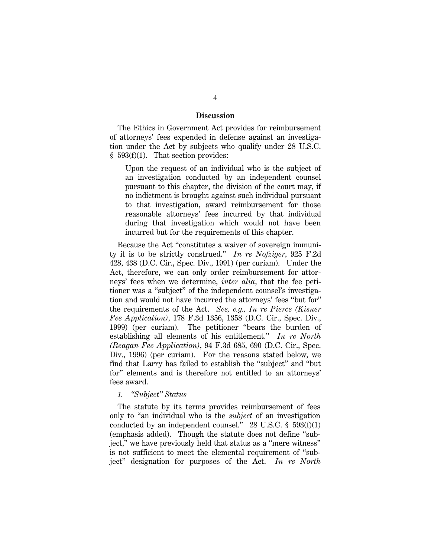### **Discussion**

The Ethics in Government Act provides for reimbursement of attorneys' fees expended in defense against an investigation under the Act by subjects who qualify under 28 U.S.C.  $§$  593(f)(1). That section provides:

Upon the request of an individual who is the subject of an investigation conducted by an independent counsel pursuant to this chapter, the division of the court may, if no indictment is brought against such individual pursuant to that investigation, award reimbursement for those reasonable attorneys' fees incurred by that individual during that investigation which would not have been incurred but for the requirements of this chapter.

Because the Act ''constitutes a waiver of sovereign immunity it is to be strictly construed.'' *In re Nofziger*, 925 F.2d 428, 438 (D.C. Cir., Spec. Div., 1991) (per curiam). Under the Act, therefore, we can only order reimbursement for attorneys' fees when we determine, *inter alia*, that the fee petitioner was a ''subject'' of the independent counsel's investigation and would not have incurred the attorneys' fees ''but for'' the requirements of the Act. *See, e.g., In re Pierce (Kisner Fee Application)*, 178 F.3d 1356, 1358 (D.C. Cir., Spec. Div., 1999) (per curiam). The petitioner ''bears the burden of establishing all elements of his entitlement.'' *In re North (Reagan Fee Application)*, 94 F.3d 685, 690 (D.C. Cir., Spec. Div., 1996) (per curiam). For the reasons stated below, we find that Larry has failed to establish the ''subject'' and ''but for'' elements and is therefore not entitled to an attorneys' fees award.

#### *1. ''Subject'' Status*

The statute by its terms provides reimbursement of fees only to ''an individual who is the *subject* of an investigation conducted by an independent counsel." 28 U.S.C.  $\S$  593(f)(1) (emphasis added). Though the statute does not define ''subject,'' we have previously held that status as a ''mere witness'' is not sufficient to meet the elemental requirement of ''subject'' designation for purposes of the Act. *In re North*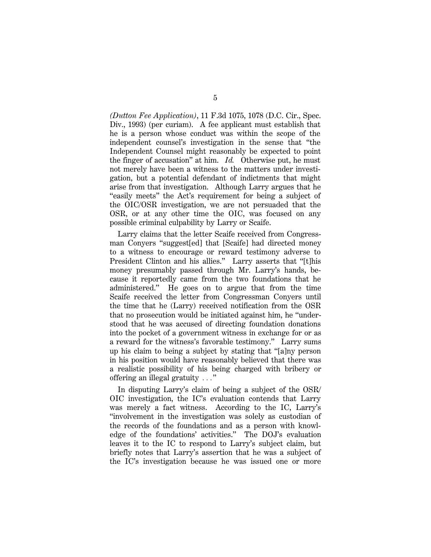*(Dutton Fee Application)*, 11 F.3d 1075, 1078 (D.C. Cir., Spec. Div., 1993) (per curiam). A fee applicant must establish that he is a person whose conduct was within the scope of the independent counsel's investigation in the sense that ''the Independent Counsel might reasonably be expected to point the finger of accusation'' at him. *Id.* Otherwise put, he must not merely have been a witness to the matters under investigation, but a potential defendant of indictments that might arise from that investigation. Although Larry argues that he "easily meets" the Act's requirement for being a subject of the OIC/OSR investigation, we are not persuaded that the OSR, or at any other time the OIC, was focused on any possible criminal culpability by Larry or Scaife.

Larry claims that the letter Scaife received from Congressman Conyers ''suggest[ed] that [Scaife] had directed money to a witness to encourage or reward testimony adverse to President Clinton and his allies." Larry asserts that "[t]his money presumably passed through Mr. Larry's hands, because it reportedly came from the two foundations that he administered.'' He goes on to argue that from the time Scaife received the letter from Congressman Conyers until the time that he (Larry) received notification from the OSR that no prosecution would be initiated against him, he ''understood that he was accused of directing foundation donations into the pocket of a government witness in exchange for or as a reward for the witness's favorable testimony.'' Larry sums up his claim to being a subject by stating that ''[a]ny person in his position would have reasonably believed that there was a realistic possibility of his being charged with bribery or offering an illegal gratuity  $\ldots$ "

In disputing Larry's claim of being a subject of the OSR/ OIC investigation, the IC's evaluation contends that Larry was merely a fact witness. According to the IC, Larry's ''involvement in the investigation was solely as custodian of the records of the foundations and as a person with knowledge of the foundations' activities.'' The DOJ's evaluation leaves it to the IC to respond to Larry's subject claim, but briefly notes that Larry's assertion that he was a subject of the IC's investigation because he was issued one or more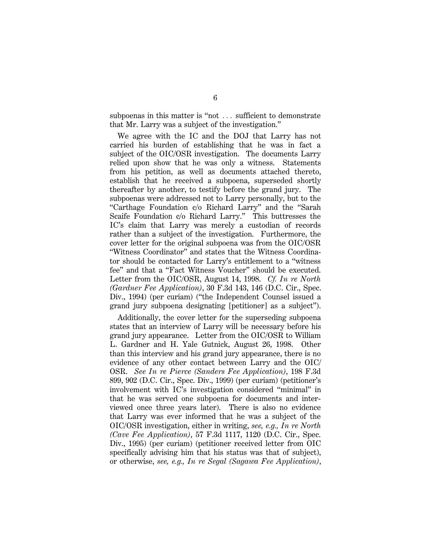subpoenas in this matter is "not ... sufficient to demonstrate that Mr. Larry was a subject of the investigation.''

We agree with the IC and the DOJ that Larry has not carried his burden of establishing that he was in fact a subject of the OIC/OSR investigation. The documents Larry relied upon show that he was only a witness. Statements from his petition, as well as documents attached thereto, establish that he received a subpoena, superseded shortly thereafter by another, to testify before the grand jury. The subpoenas were addressed not to Larry personally, but to the ''Carthage Foundation c/o Richard Larry'' and the ''Sarah Scaife Foundation c/o Richard Larry.'' This buttresses the IC's claim that Larry was merely a custodian of records rather than a subject of the investigation. Furthermore, the cover letter for the original subpoena was from the OIC/OSR ''Witness Coordinator'' and states that the Witness Coordinator should be contacted for Larry's entitlement to a ''witness fee'' and that a ''Fact Witness Voucher'' should be executed. Letter from the OIC/OSR, August 14, 1998. *Cf. In re North (Gardner Fee Application)*, 30 F.3d 143, 146 (D.C. Cir., Spec. Div., 1994) (per curiam) ("the Independent Counsel issued a grand jury subpoena designating [petitioner] as a subject'').

Additionally, the cover letter for the superseding subpoena states that an interview of Larry will be necessary before his grand jury appearance. Letter from the OIC/OSR to William L. Gardner and H. Yale Gutnick, August 26, 1998. Other than this interview and his grand jury appearance, there is no evidence of any other contact between Larry and the OIC/ OSR. *See In re Pierce (Sanders Fee Application)*, 198 F.3d 899, 902 (D.C. Cir., Spec. Div., 1999) (per curiam) (petitioner's involvement with IC's investigation considered ''minimal'' in that he was served one subpoena for documents and interviewed once three years later). There is also no evidence that Larry was ever informed that he was a subject of the OIC/OSR investigation, either in writing, *see, e.g., In re North (Cave Fee Application)*, 57 F.3d 1117, 1120 (D.C. Cir., Spec. Div., 1995) (per curiam) (petitioner received letter from OIC specifically advising him that his status was that of subject), or otherwise, *see, e.g., In re Segal (Sagawa Fee Application)*,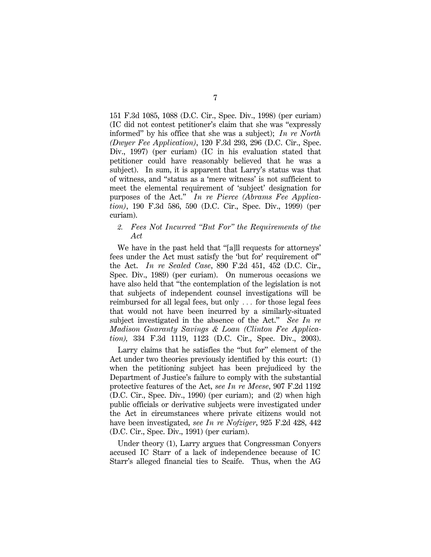151 F.3d 1085, 1088 (D.C. Cir., Spec. Div., 1998) (per curiam) (IC did not contest petitioner's claim that she was ''expressly informed'' by his office that she was a subject); *In re North (Dwyer Fee Application)*, 120 F.3d 293, 296 (D.C. Cir., Spec. Div., 1997) (per curiam) (IC in his evaluation stated that petitioner could have reasonably believed that he was a subject). In sum, it is apparent that Larry's status was that of witness, and ''status as a 'mere witness' is not sufficient to meet the elemental requirement of 'subject' designation for purposes of the Act.'' *In re Pierce (Abrams Fee Application)*, 190 F.3d 586, 590 (D.C. Cir., Spec. Div., 1999) (per curiam).

### *2. Fees Not Incurred ''But For'' the Requirements of the Act*

We have in the past held that "[a]ll requests for attorneys" fees under the Act must satisfy the 'but for' requirement of'' the Act. *In re Sealed Case*, 890 F.2d 451, 452 (D.C. Cir., Spec. Div., 1989) (per curiam). On numerous occasions we have also held that ''the contemplation of the legislation is not that subjects of independent counsel investigations will be reimbursed for all legal fees, but only  $\ldots$  for those legal fees that would not have been incurred by a similarly-situated subject investigated in the absence of the Act.'' *See In re Madison Guaranty Savings & Loan (Clinton Fee Application),* 334 F.3d 1119, 1123 (D.C. Cir., Spec. Div., 2003).

Larry claims that he satisfies the "but for" element of the Act under two theories previously identified by this court: (1) when the petitioning subject has been prejudiced by the Department of Justice's failure to comply with the substantial protective features of the Act, *see In re Meese*, 907 F.2d 1192 (D.C. Cir., Spec. Div., 1990) (per curiam); and (2) when high public officials or derivative subjects were investigated under the Act in circumstances where private citizens would not have been investigated, *see In re Nofziger*, 925 F.2d 428, 442 (D.C. Cir., Spec. Div., 1991) (per curiam).

Under theory (1), Larry argues that Congressman Conyers accused IC Starr of a lack of independence because of IC Starr's alleged financial ties to Scaife. Thus, when the AG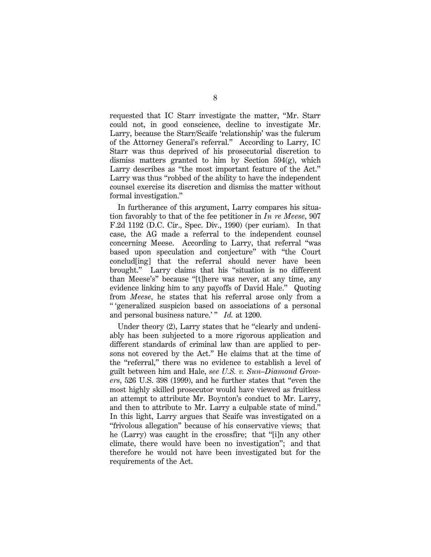requested that IC Starr investigate the matter, ''Mr. Starr could not, in good conscience, decline to investigate Mr. Larry, because the Starr/Scaife 'relationship' was the fulcrum of the Attorney General's referral.'' According to Larry, IC Starr was thus deprived of his prosecutorial discretion to dismiss matters granted to him by Section  $594(g)$ , which Larry describes as ''the most important feature of the Act.'' Larry was thus ''robbed of the ability to have the independent counsel exercise its discretion and dismiss the matter without formal investigation.''

In furtherance of this argument, Larry compares his situation favorably to that of the fee petitioner in *In re Meese*, 907 F.2d 1192 (D.C. Cir., Spec. Div., 1990) (per curiam). In that case, the AG made a referral to the independent counsel concerning Meese. According to Larry, that referral ''was based upon speculation and conjecture'' with ''the Court conclud[ing] that the referral should never have been brought.'' Larry claims that his ''situation is no different than Meese's'' because ''[t]here was never, at any time, any evidence linking him to any payoffs of David Hale.'' Quoting from *Meese*, he states that his referral arose only from a '' 'generalized suspicion based on associations of a personal and personal business nature.' " *Id.* at 1200.

Under theory (2), Larry states that he "clearly and undeniably has been subjected to a more rigorous application and different standards of criminal law than are applied to persons not covered by the Act.'' He claims that at the time of the ''referral,'' there was no evidence to establish a level of guilt between him and Hale, *see U.S. v. Sun–Diamond Growers*, 526 U.S. 398 (1999), and he further states that ''even the most highly skilled prosecutor would have viewed as fruitless an attempt to attribute Mr. Boynton's conduct to Mr. Larry, and then to attribute to Mr. Larry a culpable state of mind.'' In this light, Larry argues that Scaife was investigated on a ''frivolous allegation'' because of his conservative views; that he (Larry) was caught in the crossfire; that ''[i]n any other climate, there would have been no investigation''; and that therefore he would not have been investigated but for the requirements of the Act.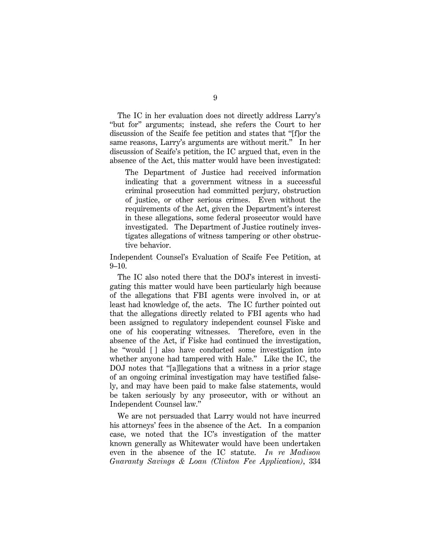The IC in her evaluation does not directly address Larry's ''but for'' arguments; instead, she refers the Court to her discussion of the Scaife fee petition and states that ''[f]or the same reasons, Larry's arguments are without merit.'' In her discussion of Scaife's petition, the IC argued that, even in the absence of the Act, this matter would have been investigated:

The Department of Justice had received information indicating that a government witness in a successful criminal prosecution had committed perjury, obstruction of justice, or other serious crimes. Even without the requirements of the Act, given the Department's interest in these allegations, some federal prosecutor would have investigated. The Department of Justice routinely investigates allegations of witness tampering or other obstructive behavior.

Independent Counsel's Evaluation of Scaife Fee Petition, at 9–10.

The IC also noted there that the DOJ's interest in investigating this matter would have been particularly high because of the allegations that FBI agents were involved in, or at least had knowledge of, the acts. The IC further pointed out that the allegations directly related to FBI agents who had been assigned to regulatory independent counsel Fiske and one of his cooperating witnesses. Therefore, even in the absence of the Act, if Fiske had continued the investigation, he "would [] also have conducted some investigation into whether anyone had tampered with Hale.'' Like the IC, the DOJ notes that "[a]llegations that a witness in a prior stage of an ongoing criminal investigation may have testified falsely, and may have been paid to make false statements, would be taken seriously by any prosecutor, with or without an Independent Counsel law.''

We are not persuaded that Larry would not have incurred his attorneys' fees in the absence of the Act. In a companion case, we noted that the IC's investigation of the matter known generally as Whitewater would have been undertaken even in the absence of the IC statute. *In re Madison Guaranty Savings & Loan (Clinton Fee Application)*, 334